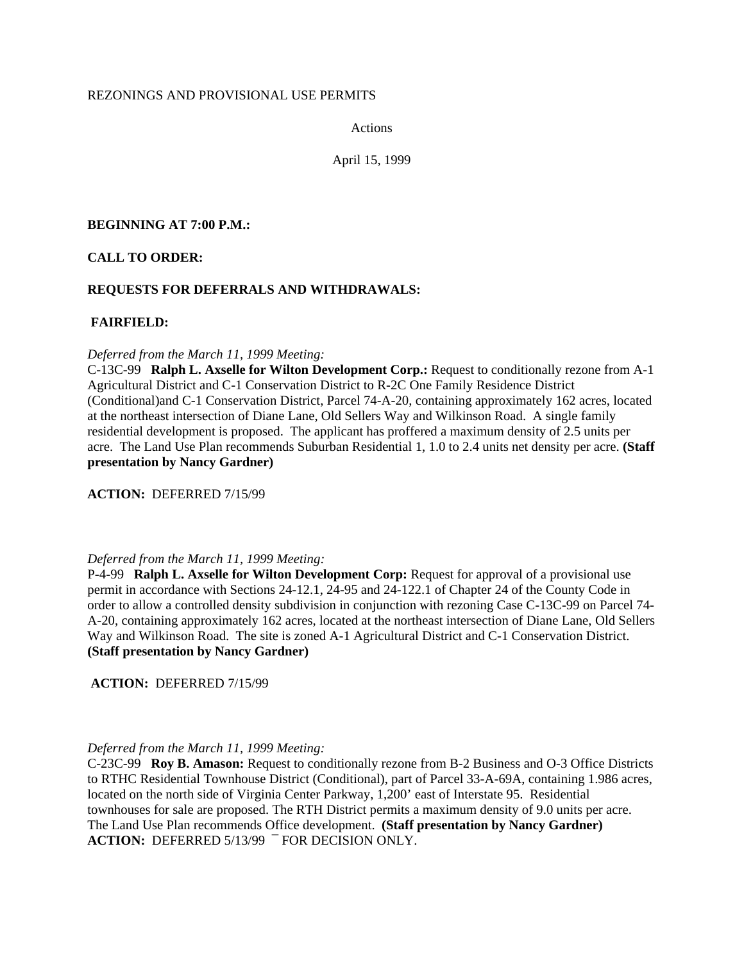# REZONINGS AND PROVISIONAL USE PERMITS

Actions

April 15, 1999

# **BEGINNING AT 7:00 P.M.:**

# **CALL TO ORDER:**

# **REQUESTS FOR DEFERRALS AND WITHDRAWALS:**

# **FAIRFIELD:**

## *Deferred from the March 11, 1999 Meeting:*

C-13C-99 **Ralph L. Axselle for Wilton Development Corp.:** Request to conditionally rezone from A-1 Agricultural District and C-1 Conservation District to R-2C One Family Residence District (Conditional)and C-1 Conservation District, Parcel 74-A-20, containing approximately 162 acres, located at the northeast intersection of Diane Lane, Old Sellers Way and Wilkinson Road. A single family residential development is proposed. The applicant has proffered a maximum density of 2.5 units per acre. The Land Use Plan recommends Suburban Residential 1, 1.0 to 2.4 units net density per acre. **(Staff presentation by Nancy Gardner)**

**ACTION:** DEFERRED 7/15/99

## *Deferred from the March 11, 1999 Meeting:*

P-4-99 **Ralph L. Axselle for Wilton Development Corp:** Request for approval of a provisional use permit in accordance with Sections 24-12.1, 24-95 and 24-122.1 of Chapter 24 of the County Code in order to allow a controlled density subdivision in conjunction with rezoning Case C-13C-99 on Parcel 74- A-20, containing approximately 162 acres, located at the northeast intersection of Diane Lane, Old Sellers Way and Wilkinson Road. The site is zoned A-1 Agricultural District and C-1 Conservation District. **(Staff presentation by Nancy Gardner)** 

**ACTION:** DEFERRED 7/15/99

# *Deferred from the March 11, 1999 Meeting:*

C-23C-99 **Roy B. Amason:** Request to conditionally rezone from B-2 Business and O-3 Office Districts to RTHC Residential Townhouse District (Conditional), part of Parcel 33-A-69A, containing 1.986 acres, located on the north side of Virginia Center Parkway, 1,200' east of Interstate 95. Residential townhouses for sale are proposed. The RTH District permits a maximum density of 9.0 units per acre. The Land Use Plan recommends Office development. **(Staff presentation by Nancy Gardner) ACTION:** DEFERRED 5/13/99 ¯ FOR DECISION ONLY.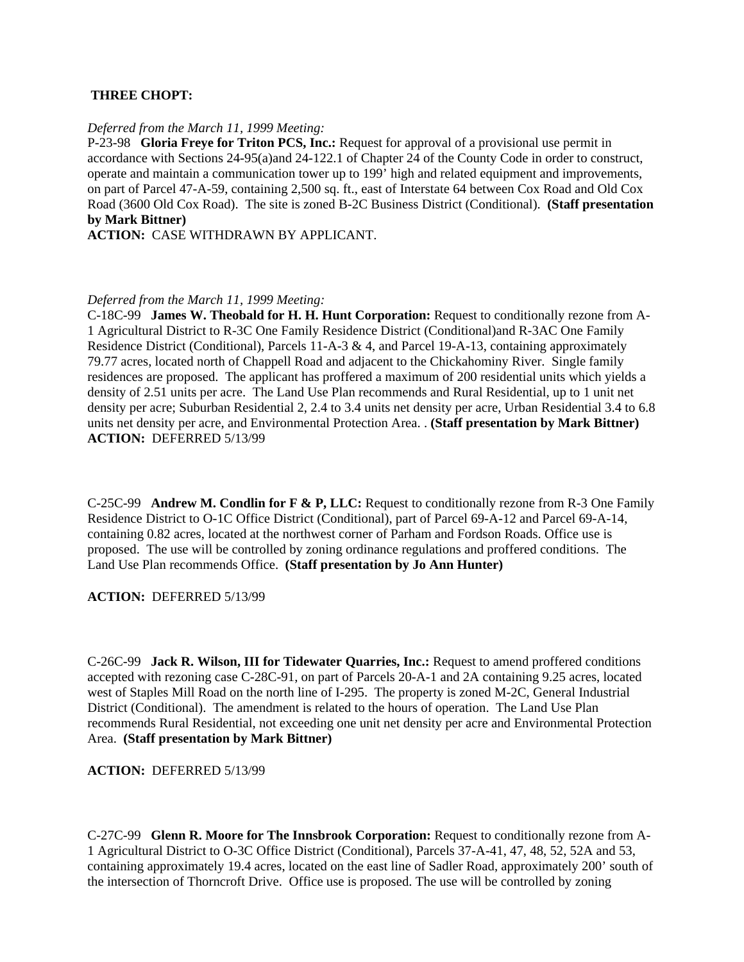## **THREE CHOPT:**

## *Deferred from the March 11, 1999 Meeting:*

P-23-98 **Gloria Freye for Triton PCS, Inc.:** Request for approval of a provisional use permit in accordance with Sections 24-95(a)and 24-122.1 of Chapter 24 of the County Code in order to construct, operate and maintain a communication tower up to 199' high and related equipment and improvements, on part of Parcel 47-A-59, containing 2,500 sq. ft., east of Interstate 64 between Cox Road and Old Cox Road (3600 Old Cox Road). The site is zoned B-2C Business District (Conditional). **(Staff presentation by Mark Bittner)**

**ACTION:** CASE WITHDRAWN BY APPLICANT.

## *Deferred from the March 11, 1999 Meeting:*

C-18C-99 **James W. Theobald for H. H. Hunt Corporation:** Request to conditionally rezone from A-1 Agricultural District to R-3C One Family Residence District (Conditional)and R-3AC One Family Residence District (Conditional), Parcels 11-A-3 & 4, and Parcel 19-A-13, containing approximately 79.77 acres, located north of Chappell Road and adjacent to the Chickahominy River. Single family residences are proposed. The applicant has proffered a maximum of 200 residential units which yields a density of 2.51 units per acre. The Land Use Plan recommends and Rural Residential, up to 1 unit net density per acre; Suburban Residential 2, 2.4 to 3.4 units net density per acre, Urban Residential 3.4 to 6.8 units net density per acre, and Environmental Protection Area. . **(Staff presentation by Mark Bittner) ACTION:** DEFERRED 5/13/99

C-25C-99 **Andrew M. Condlin for F & P, LLC:** Request to conditionally rezone from R-3 One Family Residence District to O-1C Office District (Conditional), part of Parcel 69-A-12 and Parcel 69-A-14, containing 0.82 acres, located at the northwest corner of Parham and Fordson Roads. Office use is proposed. The use will be controlled by zoning ordinance regulations and proffered conditions. The Land Use Plan recommends Office. **(Staff presentation by Jo Ann Hunter)**

## **ACTION:** DEFERRED 5/13/99

C-26C-99 **Jack R. Wilson, III for Tidewater Quarries, Inc.:** Request to amend proffered conditions accepted with rezoning case C-28C-91, on part of Parcels 20-A-1 and 2A containing 9.25 acres, located west of Staples Mill Road on the north line of I-295. The property is zoned M-2C, General Industrial District (Conditional). The amendment is related to the hours of operation. The Land Use Plan recommends Rural Residential, not exceeding one unit net density per acre and Environmental Protection Area. **(Staff presentation by Mark Bittner)** 

**ACTION:** DEFERRED 5/13/99

C-27C-99 **Glenn R. Moore for The Innsbrook Corporation:** Request to conditionally rezone from A-1 Agricultural District to O-3C Office District (Conditional), Parcels 37-A-41, 47, 48, 52, 52A and 53, containing approximately 19.4 acres, located on the east line of Sadler Road, approximately 200' south of the intersection of Thorncroft Drive. Office use is proposed. The use will be controlled by zoning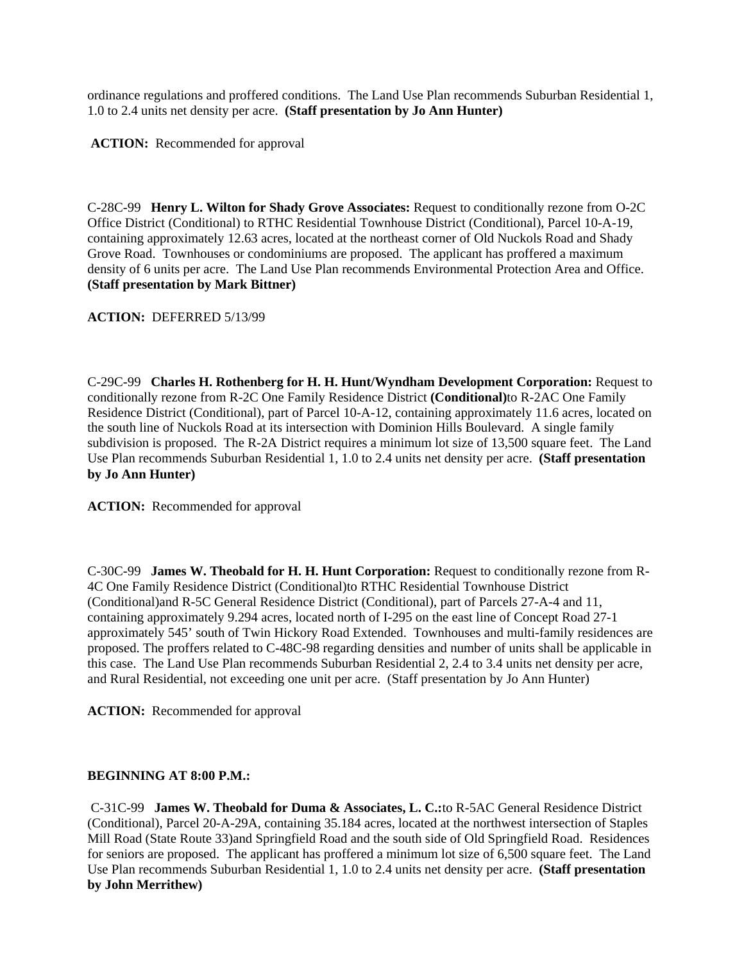ordinance regulations and proffered conditions. The Land Use Plan recommends Suburban Residential 1, 1.0 to 2.4 units net density per acre. **(Staff presentation by Jo Ann Hunter)**

**ACTION:** Recommended for approval

C-28C-99 **Henry L. Wilton for Shady Grove Associates:** Request to conditionally rezone from O-2C Office District (Conditional) to RTHC Residential Townhouse District (Conditional), Parcel 10-A-19, containing approximately 12.63 acres, located at the northeast corner of Old Nuckols Road and Shady Grove Road. Townhouses or condominiums are proposed. The applicant has proffered a maximum density of 6 units per acre. The Land Use Plan recommends Environmental Protection Area and Office. **(Staff presentation by Mark Bittner)** 

**ACTION:** DEFERRED 5/13/99

C-29C-99 **Charles H. Rothenberg for H. H. Hunt/Wyndham Development Corporation:** Request to conditionally rezone from R-2C One Family Residence District **(Conditional)**to R-2AC One Family Residence District (Conditional), part of Parcel 10-A-12, containing approximately 11.6 acres, located on the south line of Nuckols Road at its intersection with Dominion Hills Boulevard. A single family subdivision is proposed. The R-2A District requires a minimum lot size of 13,500 square feet. The Land Use Plan recommends Suburban Residential 1, 1.0 to 2.4 units net density per acre. **(Staff presentation by Jo Ann Hunter)**

**ACTION:** Recommended for approval

C-30C-99 **James W. Theobald for H. H. Hunt Corporation:** Request to conditionally rezone from R-4C One Family Residence District (Conditional)to RTHC Residential Townhouse District (Conditional)and R-5C General Residence District (Conditional), part of Parcels 27-A-4 and 11, containing approximately 9.294 acres, located north of I-295 on the east line of Concept Road 27-1 approximately 545' south of Twin Hickory Road Extended. Townhouses and multi-family residences are proposed. The proffers related to C-48C-98 regarding densities and number of units shall be applicable in this case. The Land Use Plan recommends Suburban Residential 2, 2.4 to 3.4 units net density per acre, and Rural Residential, not exceeding one unit per acre. (Staff presentation by Jo Ann Hunter)

**ACTION:** Recommended for approval

# **BEGINNING AT 8:00 P.M.:**

C-31C-99 **James W. Theobald for Duma & Associates, L. C.:**to R-5AC General Residence District (Conditional), Parcel 20-A-29A, containing 35.184 acres, located at the northwest intersection of Staples Mill Road (State Route 33)and Springfield Road and the south side of Old Springfield Road. Residences for seniors are proposed. The applicant has proffered a minimum lot size of 6,500 square feet. The Land Use Plan recommends Suburban Residential 1, 1.0 to 2.4 units net density per acre. **(Staff presentation by John Merrithew)**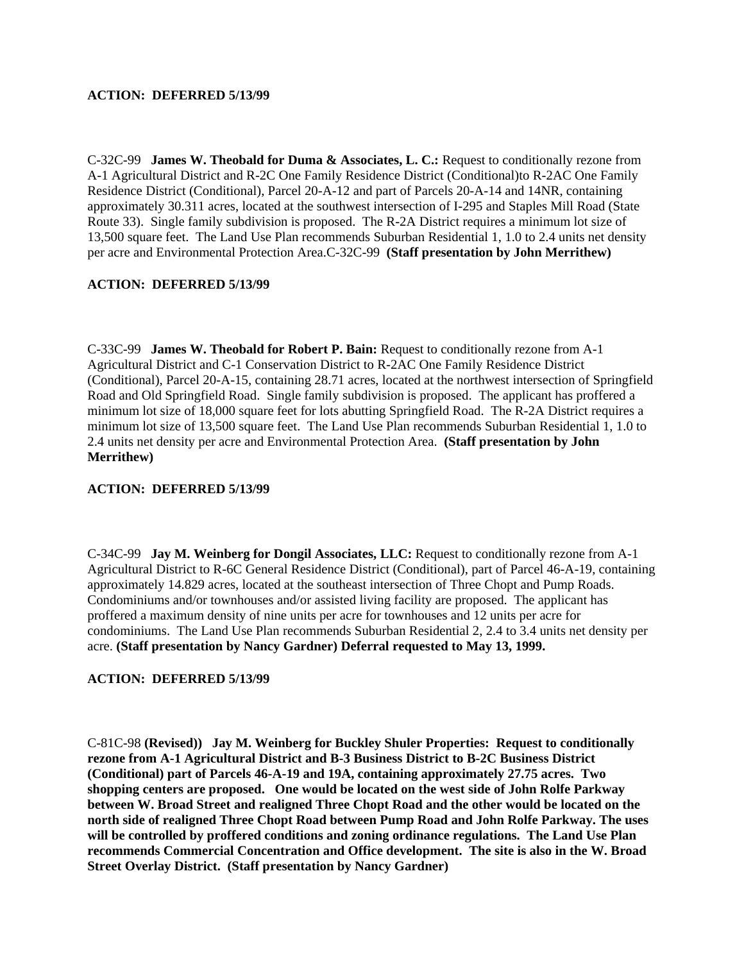# **ACTION: DEFERRED 5/13/99**

C-32C-99 **James W. Theobald for Duma & Associates, L. C.:** Request to conditionally rezone from A-1 Agricultural District and R-2C One Family Residence District (Conditional)to R-2AC One Family Residence District (Conditional), Parcel 20-A-12 and part of Parcels 20-A-14 and 14NR, containing approximately 30.311 acres, located at the southwest intersection of I-295 and Staples Mill Road (State Route 33). Single family subdivision is proposed. The R-2A District requires a minimum lot size of 13,500 square feet. The Land Use Plan recommends Suburban Residential 1, 1.0 to 2.4 units net density per acre and Environmental Protection Area.C-32C-99 **(Staff presentation by John Merrithew)** 

# **ACTION: DEFERRED 5/13/99**

C-33C-99 **James W. Theobald for Robert P. Bain:** Request to conditionally rezone from A-1 Agricultural District and C-1 Conservation District to R-2AC One Family Residence District (Conditional), Parcel 20-A-15, containing 28.71 acres, located at the northwest intersection of Springfield Road and Old Springfield Road. Single family subdivision is proposed. The applicant has proffered a minimum lot size of 18,000 square feet for lots abutting Springfield Road. The R-2A District requires a minimum lot size of 13,500 square feet. The Land Use Plan recommends Suburban Residential 1, 1.0 to 2.4 units net density per acre and Environmental Protection Area. **(Staff presentation by John Merrithew)** 

## **ACTION: DEFERRED 5/13/99**

C-34C-99 **Jay M. Weinberg for Dongil Associates, LLC:** Request to conditionally rezone from A-1 Agricultural District to R-6C General Residence District (Conditional), part of Parcel 46-A-19, containing approximately 14.829 acres, located at the southeast intersection of Three Chopt and Pump Roads. Condominiums and/or townhouses and/or assisted living facility are proposed. The applicant has proffered a maximum density of nine units per acre for townhouses and 12 units per acre for condominiums. The Land Use Plan recommends Suburban Residential 2, 2.4 to 3.4 units net density per acre. **(Staff presentation by Nancy Gardner) Deferral requested to May 13, 1999.** 

## **ACTION: DEFERRED 5/13/99**

C-81C-98 **(Revised)) Jay M. Weinberg for Buckley Shuler Properties: Request to conditionally rezone from A-1 Agricultural District and B-3 Business District to B-2C Business District (Conditional) part of Parcels 46-A-19 and 19A, containing approximately 27.75 acres. Two shopping centers are proposed. One would be located on the west side of John Rolfe Parkway between W. Broad Street and realigned Three Chopt Road and the other would be located on the north side of realigned Three Chopt Road between Pump Road and John Rolfe Parkway. The uses will be controlled by proffered conditions and zoning ordinance regulations. The Land Use Plan recommends Commercial Concentration and Office development. The site is also in the W. Broad Street Overlay District. (Staff presentation by Nancy Gardner)**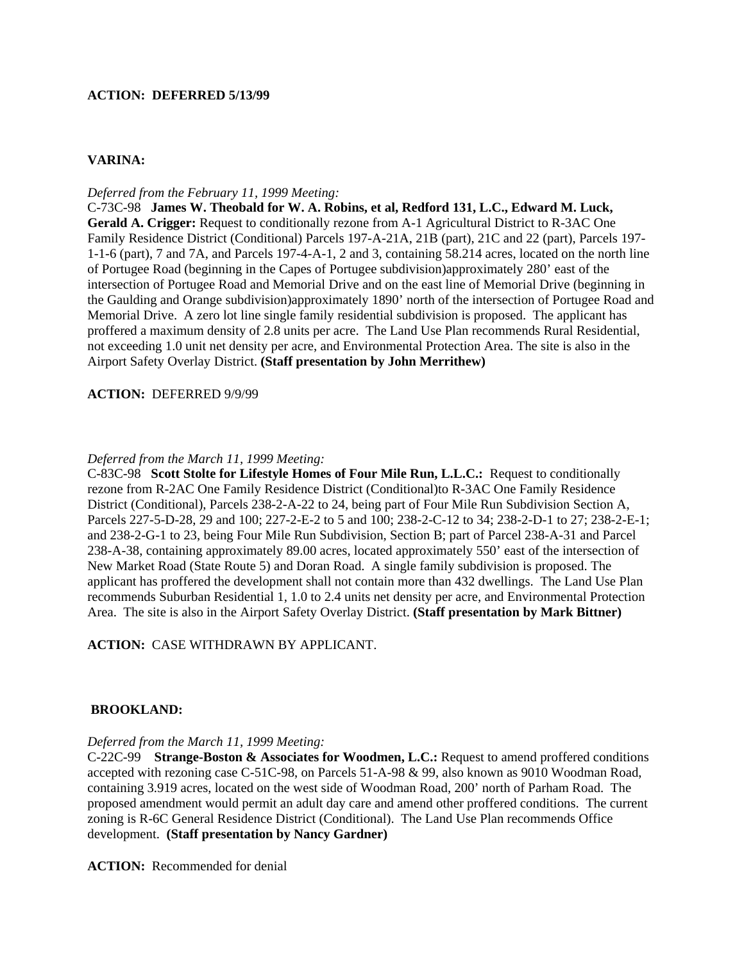## **ACTION: DEFERRED 5/13/99**

# **VARINA:**

### *Deferred from the February 11, 1999 Meeting:*

C-73C-98 **James W. Theobald for W. A. Robins, et al, Redford 131, L.C., Edward M. Luck, Gerald A. Crigger:** Request to conditionally rezone from A-1 Agricultural District to R-3AC One Family Residence District (Conditional) Parcels 197-A-21A, 21B (part), 21C and 22 (part), Parcels 197- 1-1-6 (part), 7 and 7A, and Parcels 197-4-A-1, 2 and 3, containing 58.214 acres, located on the north line of Portugee Road (beginning in the Capes of Portugee subdivision)approximately 280' east of the intersection of Portugee Road and Memorial Drive and on the east line of Memorial Drive (beginning in the Gaulding and Orange subdivision)approximately 1890' north of the intersection of Portugee Road and Memorial Drive. A zero lot line single family residential subdivision is proposed. The applicant has proffered a maximum density of 2.8 units per acre. The Land Use Plan recommends Rural Residential, not exceeding 1.0 unit net density per acre, and Environmental Protection Area. The site is also in the Airport Safety Overlay District. **(Staff presentation by John Merrithew)** 

### **ACTION:** DEFERRED 9/9/99

### *Deferred from the March 11, 1999 Meeting:*

C-83C-98 **Scott Stolte for Lifestyle Homes of Four Mile Run, L.L.C.:** Request to conditionally rezone from R-2AC One Family Residence District (Conditional)to R-3AC One Family Residence District (Conditional), Parcels 238-2-A-22 to 24, being part of Four Mile Run Subdivision Section A, Parcels 227-5-D-28, 29 and 100; 227-2-E-2 to 5 and 100; 238-2-C-12 to 34; 238-2-D-1 to 27; 238-2-E-1; and 238-2-G-1 to 23, being Four Mile Run Subdivision, Section B; part of Parcel 238-A-31 and Parcel 238-A-38, containing approximately 89.00 acres, located approximately 550' east of the intersection of New Market Road (State Route 5) and Doran Road. A single family subdivision is proposed. The applicant has proffered the development shall not contain more than 432 dwellings. The Land Use Plan recommends Suburban Residential 1, 1.0 to 2.4 units net density per acre, and Environmental Protection Area. The site is also in the Airport Safety Overlay District. **(Staff presentation by Mark Bittner)** 

## **ACTION:** CASE WITHDRAWN BY APPLICANT.

## **BROOKLAND:**

### *Deferred from the March 11, 1999 Meeting:*

C-22C-99 **Strange-Boston & Associates for Woodmen, L.C.:** Request to amend proffered conditions accepted with rezoning case C-51C-98, on Parcels 51-A-98 & 99, also known as 9010 Woodman Road, containing 3.919 acres, located on the west side of Woodman Road, 200' north of Parham Road. The proposed amendment would permit an adult day care and amend other proffered conditions. The current zoning is R-6C General Residence District (Conditional). The Land Use Plan recommends Office development. **(Staff presentation by Nancy Gardner)**

**ACTION:** Recommended for denial